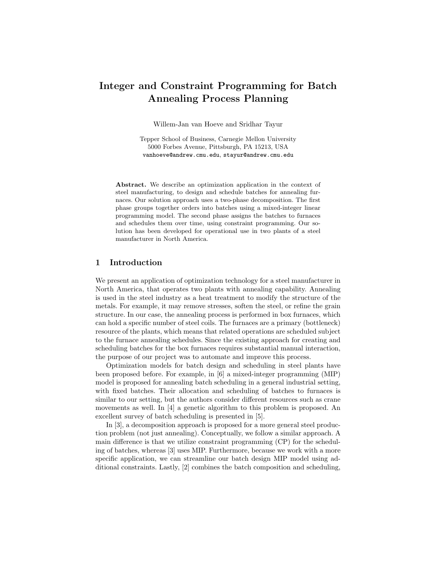# Integer and Constraint Programming for Batch Annealing Process Planning

Willem-Jan van Hoeve and Sridhar Tayur

Tepper School of Business, Carnegie Mellon University 5000 Forbes Avenue, Pittsburgh, PA 15213, USA vanhoeve@andrew.cmu.edu, stayur@andrew.cmu.edu

Abstract. We describe an optimization application in the context of steel manufacturing, to design and schedule batches for annealing furnaces. Our solution approach uses a two-phase decomposition. The first phase groups together orders into batches using a mixed-integer linear programming model. The second phase assigns the batches to furnaces and schedules them over time, using constraint programming. Our solution has been developed for operational use in two plants of a steel manufacturer in North America.

# 1 Introduction

We present an application of optimization technology for a steel manufacturer in North America, that operates two plants with annealing capability. Annealing is used in the steel industry as a heat treatment to modify the structure of the metals. For example, it may remove stresses, soften the steel, or refine the grain structure. In our case, the annealing process is performed in box furnaces, which can hold a specific number of steel coils. The furnaces are a primary (bottleneck) resource of the plants, which means that related operations are scheduled subject to the furnace annealing schedules. Since the existing approach for creating and scheduling batches for the box furnaces requires substantial manual interaction, the purpose of our project was to automate and improve this process.

Optimization models for batch design and scheduling in steel plants have been proposed before. For example, in [6] a mixed-integer programming (MIP) model is proposed for annealing batch scheduling in a general industrial setting, with fixed batches. Their allocation and scheduling of batches to furnaces is similar to our setting, but the authors consider different resources such as crane movements as well. In [4] a genetic algorithm to this problem is proposed. An excellent survey of batch scheduling is presented in [5].

In [3], a decomposition approach is proposed for a more general steel production problem (not just annealing). Conceptually, we follow a similar approach. A main difference is that we utilize constraint programming (CP) for the scheduling of batches, whereas [3] uses MIP. Furthermore, because we work with a more specific application, we can streamline our batch design MIP model using additional constraints. Lastly, [2] combines the batch composition and scheduling,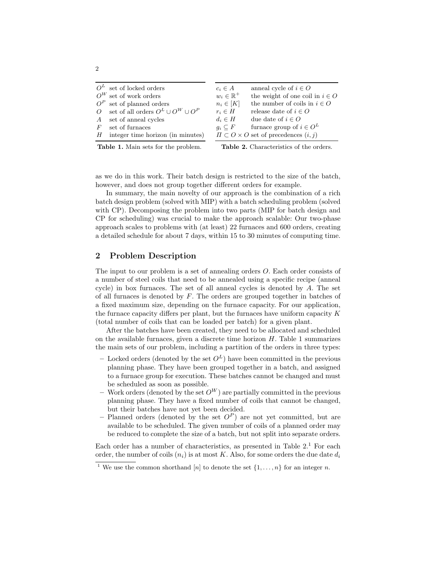|                  | $O^L$ set of locked orders                | $c_i \in A$            | anneal cycle of $i \in O$                            |
|------------------|-------------------------------------------|------------------------|------------------------------------------------------|
|                  | $O^W$ set of work orders                  | $w_i \in \mathbb{R}^+$ | the weight of one coil in $i \in O$                  |
|                  | $O^P$ set of planned orders               | $n_i \in [K]$          | the number of coils in $i \in O$                     |
| $\Omega$         | set of all orders $O^L \cup O^W \cup O^P$ | $r_i \in H$            | release date of $i \in O$                            |
| $\boldsymbol{A}$ | set of anneal cycles                      | $d_i \in H$            | due date of $i \in O$                                |
| $\boldsymbol{F}$ | set of furnaces                           | $q_i \subset F$        | furnace group of $i \in O^L$                         |
| H                | integer time horizon (in minutes)         |                        | $\Pi \subset O \times O$ set of precedences $(i, j)$ |
|                  |                                           |                        |                                                      |

Table 1. Main sets for the problem.

Table 2. Characteristics of the orders.

as we do in this work. Their batch design is restricted to the size of the batch, however, and does not group together different orders for example.

In summary, the main novelty of our approach is the combination of a rich batch design problem (solved with MIP) with a batch scheduling problem (solved with CP). Decomposing the problem into two parts (MIP for batch design and CP for scheduling) was crucial to make the approach scalable: Our two-phase approach scales to problems with (at least) 22 furnaces and 600 orders, creating a detailed schedule for about 7 days, within 15 to 30 minutes of computing time.

## 2 Problem Description

The input to our problem is a set of annealing orders O. Each order consists of a number of steel coils that need to be annealed using a specific recipe (anneal cycle) in box furnaces. The set of all anneal cycles is denoted by A. The set of all furnaces is denoted by  $F$ . The orders are grouped together in batches of a fixed maximum size, depending on the furnace capacity. For our application, the furnace capacity differs per plant, but the furnaces have uniform capacity  $K$ (total number of coils that can be loaded per batch) for a given plant.

After the batches have been created, they need to be allocated and scheduled on the available furnaces, given a discrete time horizon  $H$ . Table 1 summarizes the main sets of our problem, including a partition of the orders in three types:

- Locked orders (denoted by the set  $O^L$ ) have been committed in the previous planning phase. They have been grouped together in a batch, and assigned to a furnace group for execution. These batches cannot be changed and must be scheduled as soon as possible.
- Work orders (denoted by the set  $O^W$ ) are partially committed in the previous planning phase. They have a fixed number of coils that cannot be changed, but their batches have not yet been decided.
- Planned orders (denoted by the set  $O<sup>P</sup>$ ) are not yet committed, but are available to be scheduled. The given number of coils of a planned order may be reduced to complete the size of a batch, but not split into separate orders.

Each order has a number of characteristics, as presented in Table  $2<sup>1</sup>$  For each order, the number of coils  $(n_i)$  is at most K. Also, for some orders the due date  $d_i$ 

<sup>&</sup>lt;sup>1</sup> We use the common shorthand [n] to denote the set  $\{1, \ldots, n\}$  for an integer n.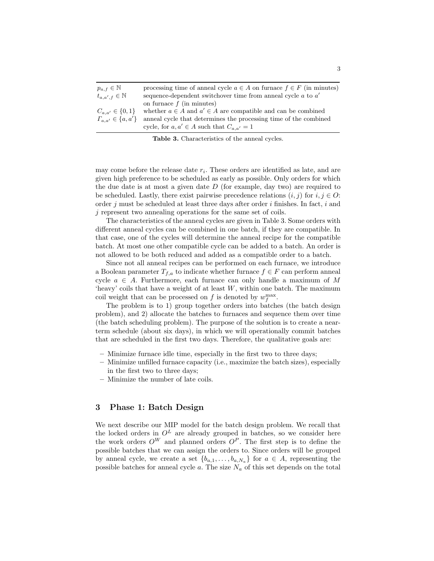|                              | processing time of anneal cycle $a \in A$ on furnace $f \in F$ (in minutes) |
|------------------------------|-----------------------------------------------------------------------------|
| $p_{a,f} \in \mathbb{N}$     |                                                                             |
| $t_{a,a',f} \in \mathbb{N}$  | sequence-dependent switchover time from anneal cycle $a$ to $a'$            |
|                              | on furnace $f$ (in minutes)                                                 |
| $C_{a,a'} \in \{0,1\}$       | whether $a \in A$ and $a' \in A$ are compatible and can be combined         |
| $\Gamma_{a,a'} \in \{a,a'\}$ | anneal cycle that determines the processing time of the combined            |
|                              | cycle, for $a, a' \in A$ such that $C_{a,a'} = 1$                           |

Table 3. Characteristics of the anneal cycles.

may come before the release date  $r_i$ . These orders are identified as late, and are given high preference to be scheduled as early as possible. Only orders for which the due date is at most a given date  $D$  (for example, day two) are required to be scheduled. Lastly, there exist pairwise precedence relations  $(i, j)$  for  $i, j \in O$ : order  $j$  must be scheduled at least three days after order  $i$  finishes. In fact,  $i$  and j represent two annealing operations for the same set of coils.

The characteristics of the anneal cycles are given in Table 3. Some orders with different anneal cycles can be combined in one batch, if they are compatible. In that case, one of the cycles will determine the anneal recipe for the compatible batch. At most one other compatible cycle can be added to a batch. An order is not allowed to be both reduced and added as a compatible order to a batch.

Since not all anneal recipes can be performed on each furnace, we introduce a Boolean parameter  $T_{f,a}$  to indicate whether furnace  $f \in F$  can perform anneal cycle  $a \in A$ . Furthermore, each furnace can only handle a maximum of M 'heavy' coils that have a weight of at least W, within one batch. The maximum coil weight that can be processed on f is denoted by  $w_f^{\text{max}}$ .

The problem is to 1) group together orders into batches (the batch design problem), and 2) allocate the batches to furnaces and sequence them over time (the batch scheduling problem). The purpose of the solution is to create a nearterm schedule (about six days), in which we will operationally commit batches that are scheduled in the first two days. Therefore, the qualitative goals are:

- Minimize furnace idle time, especially in the first two to three days;
- Minimize unfilled furnace capacity (i.e., maximize the batch sizes), especially in the first two to three days;
- Minimize the number of late coils.

#### 3 Phase 1: Batch Design

We next describe our MIP model for the batch design problem. We recall that the locked orders in  $O^L$  are already grouped in batches, so we consider here the work orders  $O^W$  and planned orders  $O^P$ . The first step is to define the possible batches that we can assign the orders to. Since orders will be grouped by anneal cycle, we create a set  $\{b_{a,1},\ldots,b_{a,N_a}\}\$ for  $a \in A$ , representing the possible batches for anneal cycle  $a$ . The size  $N_a$  of this set depends on the total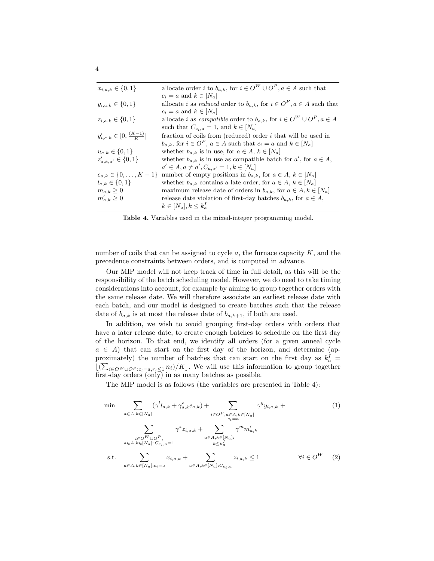| allocate order i to $b_{a,k}$ , for $i \in O^W \cup O^P, a \in A$ such that<br>$c_i = a$ and $k \in [N_a]$<br>allocate <i>i</i> as <i>reduced</i> order to $b_{a,k}$ , for $i \in O^P$ , $a \in A$ such that<br>$c_i = a$ and $k \in [N_a]$<br>allocate <i>i</i> as <i>compatible</i> order to $b_{a,k}$ , for $i \in O^W \cup O^P$ , $a \in A$<br>such that $C_{c_i, a} = 1$ , and $k \in [N_a]$<br>fraction of coils from (reduced) order $i$ that will be used in<br>$b_{a,k}$ , for $i \in O^P$ , $a \in A$ such that $c_i = a$ and $k \in [N_a]$<br>whether $b_{a,k}$ is in use, for $a \in A, k \in [N_a]$<br>$z'_{a,k,a'} \in \{0,1\}$<br>whether $b_{a,k}$ is in use as compatible batch for $a'$ , for $a \in A$ ,<br>$a' \in A, a \neq a', C_{a,a'} = 1, k \in [N_a]$<br>number of empty positions in $b_{a,k}$ , for $a \in A, k \in [N_a]$ |                                       |                                                                     |
|--------------------------------------------------------------------------------------------------------------------------------------------------------------------------------------------------------------------------------------------------------------------------------------------------------------------------------------------------------------------------------------------------------------------------------------------------------------------------------------------------------------------------------------------------------------------------------------------------------------------------------------------------------------------------------------------------------------------------------------------------------------------------------------------------------------------------------------------------------|---------------------------------------|---------------------------------------------------------------------|
|                                                                                                                                                                                                                                                                                                                                                                                                                                                                                                                                                                                                                                                                                                                                                                                                                                                        | $x_{i,a,k} \in \{0,1\}$               |                                                                     |
|                                                                                                                                                                                                                                                                                                                                                                                                                                                                                                                                                                                                                                                                                                                                                                                                                                                        |                                       |                                                                     |
|                                                                                                                                                                                                                                                                                                                                                                                                                                                                                                                                                                                                                                                                                                                                                                                                                                                        | $y_{i,a,k} \in \{0,1\}$               |                                                                     |
|                                                                                                                                                                                                                                                                                                                                                                                                                                                                                                                                                                                                                                                                                                                                                                                                                                                        |                                       |                                                                     |
|                                                                                                                                                                                                                                                                                                                                                                                                                                                                                                                                                                                                                                                                                                                                                                                                                                                        | $z_{i,a,k} \in \{0,1\}$               |                                                                     |
|                                                                                                                                                                                                                                                                                                                                                                                                                                                                                                                                                                                                                                                                                                                                                                                                                                                        |                                       |                                                                     |
|                                                                                                                                                                                                                                                                                                                                                                                                                                                                                                                                                                                                                                                                                                                                                                                                                                                        | $y'_{i,a,k} \in [0, \frac{(K-1)}{K}]$ |                                                                     |
|                                                                                                                                                                                                                                                                                                                                                                                                                                                                                                                                                                                                                                                                                                                                                                                                                                                        |                                       |                                                                     |
|                                                                                                                                                                                                                                                                                                                                                                                                                                                                                                                                                                                                                                                                                                                                                                                                                                                        | $u_{a,k} \in \{0,1\}$                 |                                                                     |
|                                                                                                                                                                                                                                                                                                                                                                                                                                                                                                                                                                                                                                                                                                                                                                                                                                                        |                                       |                                                                     |
|                                                                                                                                                                                                                                                                                                                                                                                                                                                                                                                                                                                                                                                                                                                                                                                                                                                        |                                       |                                                                     |
|                                                                                                                                                                                                                                                                                                                                                                                                                                                                                                                                                                                                                                                                                                                                                                                                                                                        | $e_{a,k} \in \{0, \ldots, K-1\}$      |                                                                     |
|                                                                                                                                                                                                                                                                                                                                                                                                                                                                                                                                                                                                                                                                                                                                                                                                                                                        | $l_{a,k} \in \{0,1\}$                 | whether $b_{a,k}$ contains a late order, for $a \in A, k \in [N_a]$ |
| maximum release date of orders in $b_{a,k}$ , for $a \in A, k \in [N_a]$                                                                                                                                                                                                                                                                                                                                                                                                                                                                                                                                                                                                                                                                                                                                                                               | $m_{a,k}\geq 0$                       |                                                                     |
| release date violation of first-day batches $b_{a,k}$ , for $a \in A$ ,                                                                                                                                                                                                                                                                                                                                                                                                                                                                                                                                                                                                                                                                                                                                                                                | $m'_{a,k}\geq 0$                      |                                                                     |
| $k \in [N_a], k \leq k_a^I$                                                                                                                                                                                                                                                                                                                                                                                                                                                                                                                                                                                                                                                                                                                                                                                                                            |                                       |                                                                     |

Table 4. Variables used in the mixed-integer programming model.

number of coils that can be assigned to cycle  $a$ , the furnace capacity  $K$ , and the precedence constraints between orders, and is computed in advance.

Our MIP model will not keep track of time in full detail, as this will be the responsibility of the batch scheduling model. However, we do need to take timing considerations into account, for example by aiming to group together orders with the same release date. We will therefore associate an earliest release date with each batch, and our model is designed to create batches such that the release date of  $b_{a,k}$  is at most the release date of  $b_{a,k+1}$ , if both are used.

In addition, we wish to avoid grouping first-day orders with orders that have a later release date, to create enough batches to schedule on the first day of the horizon. To that end, we identify all orders (for a given anneal cycle  $a \in A$ ) that can start on the first day of the horizon, and determine (approximately) the number of batches that can start on the first day as  $k_a^I$  =  $\lfloor (\sum_{i\in O^W\cup O^P:c_i=a,r_i\leq 1}n_i)/K\rfloor$ . We will use this information to group together first-day orders  $(\text{only})$  in as many batches as possible.

The MIP model is as follows (the variables are presented in Table 4):

$$
\min \sum_{a \in A, k \in [N_a]} (\gamma^l l_{a,k} + \gamma^e_{a,k} e_{a,k}) + \sum_{i \in O^P, a \in A, k \in [N_a]:} \gamma^y y_{i,a,k} +
$$
\n
$$
\sum_{\substack{i \in O^W \cup O^P, \\ a \in A, k \in [N_a]: C_{c_i, a} = 1}} \gamma^z z_{i,a,k} + \sum_{\substack{a \in A, k \in [N_a]: \\ k \le k_a^I}} \gamma^m m'_{a,k}
$$
\n
$$
\text{s.t.} \sum_{a \in A, k \in [N_a]: c_i = a} x_{i,a,k} + \sum_{a \in A, k \in [N_a]: C_{c_i, a}} z_{i,a,k} \le 1 \qquad \forall i \in O^W \quad (2)
$$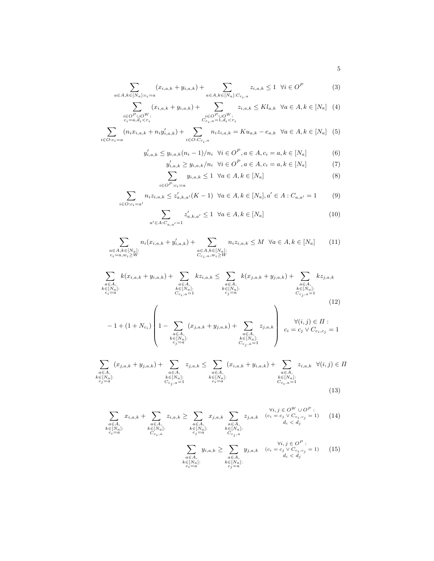$$
\sum_{a \in A, k \in [N_a]: c_i = a} (x_{i,a,k} + y_{i,a,k}) + \sum_{a \in A, k \in [N_a]: C_{c_i,a}} z_{i,a,k} \le 1 \ \forall i \in O^P
$$
(3)

$$
\sum_{\substack{i \in O^P \cup O^W:\\c_i = a, d_i < r_i}} (x_{i,a,k} + y_{i,a,k}) + \sum_{\substack{i \in O^P \cup O^W:\\C_{c_i,a} = 1, d_i < r_i}} z_{i,a,k} \leq K l_{a,k} \quad \forall a \in A, k \in [N_a] \tag{4}
$$

$$
\sum_{i \in O: c_i = a} (n_i x_{i,a,k} + n_i y'_{i,a,k}) + \sum_{i \in O: C_{c_i,a}} n_i z_{i,a,k} = K u_{a,k} - e_{a,k} \quad \forall a \in A, k \in [N_a]
$$
 (5)

$$
y'_{i,a,k} \le y_{i,a,k}(n_i - 1)/n_i \quad \forall i \in O^P, a \in A, c_i = a, k \in [N_a]
$$
 (6)

$$
y'_{i,a,k} \ge y_{i,a,k}/n_i \quad \forall i \in O^P, a \in A, c_i = a, k \in [N_a]
$$
 (7)

$$
\sum_{i \in O^{P}: c_{i}=a} y_{i,a,k} \leq 1 \quad \forall a \in A, k \in [N_{a}]
$$
\n
$$
(8)
$$

$$
\sum_{i \in O: c_i = a'} n_i z_{i,a,k} \le z'_{a,k,a'}(K-1) \quad \forall a \in A, k \in [N_a], a' \in A : C_{a,a'} = 1 \tag{9}
$$

$$
\sum_{a' \in A: C_{a,a'}=1} z'_{a,k,a'} \le 1 \quad \forall a \in A, k \in [N_a]
$$
\n(10)

$$
\sum_{\substack{a \in A, k \in [N_a]: \\ c_i = a, w_i \ge W}} n_i(x_{i,a,k} + y'_{i,a,k}) + \sum_{\substack{a \in A, k \in [N_a]: \\ C_{c_i, a}, w_i \ge W}} n_i z_{i,a,k} \le M \quad \forall a \in A, k \in [N_a]
$$
(11)

$$
\sum_{\substack{a \in A, \\ k \in [N_a]: \\ c_i = a}} k(x_{i,a,k} + y_{i,a,k}) + \sum_{\substack{a \in A, \\ k \in [N_a]: \\ C_{c_i,a} = 1}} kz_{i,a,k} \le \sum_{\substack{a \in A, \\ k \in [N_a]: \\ c_j = a}} k(x_{j,a,k} + y_{j,a,k}) + \sum_{\substack{a \in A, \\ k \in [N_a]: \\ C_{c_j,a} = 1}} kz_{j,a,k}
$$
\n
$$
(12)
$$

$$
-1 + (1 + N_{c_i}) \left( 1 - \sum_{\substack{a \in A, \\ k \in [N_a]: \\ c_j = a}} (x_{j,a,k} + y_{j,a,k}) + \sum_{\substack{a \in A, \\ k \in [N_a]: \\ C_{c_j,a} = 1}} z_{j,a,k} \right) \xrightarrow[c_i = c_j \vee C_{c_i,c_j} = 1]
$$

$$
\sum_{\substack{a \in A, \\ k \in [N_a]: \\ c_j = a}} (x_{j,a,k} + y_{j,a,k}) + \sum_{\substack{a \in A, \\ k \in [N_a]: \\ C_{c_j,a} = 1}} z_{j,a,k} \le \sum_{\substack{a \in A, \\ k \in [N_a]: \\ c_i = a}} (x_{i,a,k} + y_{i,a,k}) + \sum_{\substack{a \in A, \\ k \in [N_a]: \\ C_{c_i,a} = 1}} z_{i,a,k} \quad \forall (i,j) \in \Pi
$$
\n(13)

$$
\sum_{\substack{a \in A, \\ k \in [Na]: \\ c_i = a}} x_{i,a,k} + \sum_{\substack{a \in A, \\ k \in [Na]: \\ C_{c_i,a}}} z_{i,a,k} \ge \sum_{\substack{a \in A, \\ k \in [Na]: \\ c_j = a}} x_{j,a,k} \sum_{\substack{a \in A, \\ k \in [Na]: \\ C_{c_j,a}}} z_{j,a,k} \quad (\begin{array}{c} \forall i, j \in O^W \cup O^P : \\ (c_i = c_j \vee C_{c_i,c_j} = 1) \\ d_i < d_j \end{array} \quad (14)
$$
\n
$$
\sum_{\substack{c \in [Na]: \\ c_i = a}} x_{j,a,k} \sum_{\substack{a \in A, \\ C_{c_j,a}}} z_{j,a,k} \quad (\begin{array}{c} \forall i, j \in O^W \cup O^P : \\ d_i < d_j \end{array} \quad (15)
$$
\n
$$
\sum_{\substack{a \in A, \\ k \in [Na]: \\ c_j = a}} y_{i,a,k} \ge \sum_{\substack{a \in A, \\ k \in [Na]: \\ c_j = a}} y_{j,a,k} \quad (\begin{array}{c} \forall i, j \in O^P : \\ c_i = c_j \vee C_{c_i,c_j} = 1 \end{array} \quad (15)
$$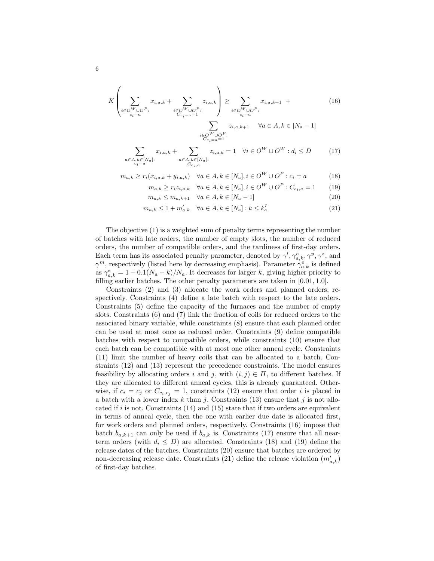$$
K\left(\sum_{i \in O^{W} \cup O^{P}:} x_{i,a,k} + \sum_{i \in O^{W} \cup O^{P}:} z_{i,a,k}} z_{i,a,k}\right) \ge \sum_{i \in O^{W} \cup O^{P}:} x_{i,a,k+1} + \sum_{c_i = a} x_{i,a,k+1} \quad \forall a \in A, k \in [N_a - 1]
$$
\n
$$
\sum_{\substack{i \in O^{W} \cup O^{P}: \\ C_{c_i = a} = 1}} z_{i,a,k+1} \quad \forall a \in A, k \in [N_a - 1]
$$
\n
$$
\sum_{i \in O^{W} \cup O^{P}:} x_{i,a,k+1} \quad \forall a \in A, k \in [N_a - 1]
$$
\n
$$
(17)
$$

$$
\sum_{\substack{a \in A, k \in [N_a]: \\ c_i = a}} x_{i,a,k} + \sum_{\substack{a \in A, k \in [N_a]: \\ C_{c_i,a}}} z_{i,a,k} = 1 \quad \forall i \in O^W \cup O^W : d_i \le D \tag{17}
$$

$$
m_{a,k} \ge r_i(x_{i,a,k} + y_{i,a,k}) \quad \forall a \in A, k \in [N_a], i \in O^W \cup O^P : c_i = a \tag{18}
$$

$$
m_{a,k} \ge r_i z_{i,a,k} \quad \forall a \in A, k \in [N_a], i \in O^W \cup O^P : C_{c_i,a} = 1 \tag{19}
$$

$$
m_{a,k} \le m_{a,k+1} \quad \forall a \in A, k \in [N_a - 1]
$$
\n
$$
(20)
$$

$$
m_{a,k} \le 1 + m'_{a,k} \quad \forall a \in A, k \in [N_a] : k \le k_a^I \tag{21}
$$

The objective (1) is a weighted sum of penalty terms representing the number of batches with late orders, the number of empty slots, the number of reduced orders, the number of compatible orders, and the tardiness of first-day orders. Each term has its associated penalty parameter, denoted by  $\gamma^l, \gamma^e_{a,k}, \gamma^y, \gamma^z$ , and  $\gamma^m$ , respectively (listed here by decreasing emphasis). Parameter  $\gamma^e_{a,k}$  is defined as  $\gamma_{a,k}^e = 1 + 0.1(N_a - k)/N_a$ . It decreases for larger k, giving higher priority to filling earlier batches. The other penalty parameters are taken in [0.01, 1.0].

Constraints (2) and (3) allocate the work orders and planned orders, respectively. Constraints (4) define a late batch with respect to the late orders. Constraints (5) define the capacity of the furnaces and the number of empty slots. Constraints (6) and (7) link the fraction of coils for reduced orders to the associated binary variable, while constraints (8) ensure that each planned order can be used at most once as reduced order. Constraints (9) define compatible batches with respect to compatible orders, while constraints (10) ensure that each batch can be compatible with at most one other anneal cycle. Constraints (11) limit the number of heavy coils that can be allocated to a batch. Constraints (12) and (13) represent the precedence constraints. The model ensures feasibility by allocating orders i and j, with  $(i, j) \in \Pi$ , to different batches. If they are allocated to different anneal cycles, this is already guaranteed. Otherwise, if  $c_i = c_j$  or  $C_{c_i,c_j} = 1$ , constraints (12) ensure that order i is placed in a batch with a lower index k than j. Constraints (13) ensure that j is not allocated if  $i$  is not. Constraints (14) and (15) state that if two orders are equivalent in terms of anneal cycle, then the one with earlier due date is allocated first, for work orders and planned orders, respectively. Constraints (16) impose that batch  $b_{a,k+1}$  can only be used if  $b_{a,k}$  is. Constraints (17) ensure that all nearterm orders (with  $d_i \leq D$ ) are allocated. Constraints (18) and (19) define the release dates of the batches. Constraints (20) ensure that batches are ordered by non-decreasing release date. Constraints (21) define the release violation  $\left(m_{a,k}^{\prime}\right)$ of first-day batches.

6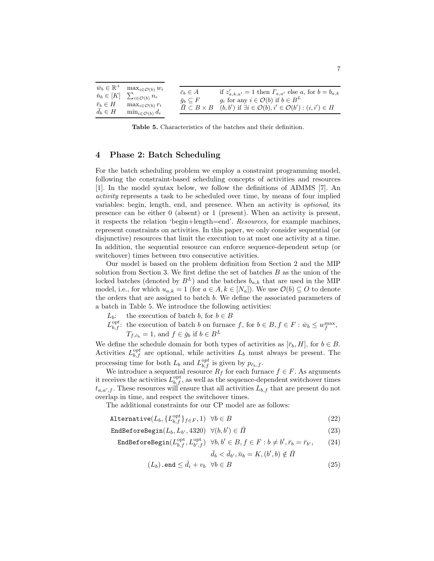|                   | $\bar{w}_b \in \mathbb{R}^+$ max $_{i \in \mathcal{O}(b)} w_i$          |                         |                                                                                                                           |
|-------------------|-------------------------------------------------------------------------|-------------------------|---------------------------------------------------------------------------------------------------------------------------|
|                   | $\bar{n}_b \in [K]$ $\sum_{i \in \mathcal{O}(b)} n_i$                   | $\bar{c}_b \in A$       | if $z'_{a,k,a'} = 1$ then $\Gamma_{a,a'}$ else a, for $b = b_{a,k}$                                                       |
|                   |                                                                         | $\bar{q}_b \subseteq F$ | $g_i$ for any $i \in \mathcal{O}(b)$ if $b \in B^L$                                                                       |
|                   | $\bar{r}_b \in H$ max <sub>i<math>\in \mathcal{O}(b)</math></sub> $r_i$ |                         |                                                                                                                           |
| $\bar{d}_b \in H$ | $\min_{i \in \mathcal{O}(b)} d_i$                                       |                         | $\overline{\Pi} \subset B \times B$ $(b, b')$ if $\exists i \in \mathcal{O}(b), i' \in \mathcal{O}(b') : (i, i') \in \Pi$ |
|                   |                                                                         |                         |                                                                                                                           |

Table 5. Characteristics of the batches and their definition.

## 4 Phase 2: Batch Scheduling

For the batch scheduling problem we employ a constraint programming model, following the constraint-based scheduling concepts of activities and resources [1]. In the model syntax below, we follow the definitions of AIMMS [7]. An activity represents a task to be scheduled over time, by means of four implied variables: begin, length, end, and presence. When an activity is optional, its presence can be either 0 (absent) or 1 (present). When an activity is present, it respects the relation 'begin+length=end'. Resources, for example machines, represent constraints on activities. In this paper, we only consider sequential (or disjunctive) resources that limit the execution to at most one activity at a time. In addition, the sequential resource can enforce sequence-dependent setup (or switchover) times between two consecutive activities.

Our model is based on the problem definition from Section 2 and the MIP solution from Section 3. We first define the set of batches  $B$  as the union of the locked batches (denoted by  $B^L$ ) and the batches  $b_{a,k}$  that are used in the MIP model, i.e., for which  $u_{a,k} = 1$  (for  $a \in A, k \in [N_a]$ ). We use  $\mathcal{O}(b) \subseteq O$  to denote the orders that are assigned to batch b. We define the associated parameters of a batch in Table 5. We introduce the following activities:

- $L_b$ : the execution of batch b, for  $b \in B$
- $L_{b,f}^{opt}:$  the execution of batch b on furnace f, for  $b \in B, f \in F: \bar{w}_b \leq w_f^{\max}$ ,  $T_{f,\bar{c}_b} = 1$ , and  $f \in \bar{g}_b$  if  $b \in B^L$

We define the schedule domain for both types of activities as  $[\bar{r}_b, H]$ , for  $b \in B$ . Activities  $L_{b,f}^{\text{opt}}$  are optional, while activities  $L_b$  must always be present. The processing time for both  $L_b$  and  $L_{b,f}^{opt}$  is given by  $p_{\bar{c}_b,f}$ .

We introduce a sequential resource  $R_f$  for each furnace  $f \in F$ . As arguments it receives the activities  $L_{b,f}^{\text{opt}}$ , as well as the sequence-dependent switchover times  $t_{a,a',f}$ . These resources will ensure that all activities  $L_{b,f}$  that are present do not overlap in time, and respect the switchover times.

The additional constraints for our CP model are as follows:

$$
\text{Alternative}(L_b, \{L_{b,f}^{\text{opt}}\}_{f \in F}, 1) \quad \forall b \in B \tag{22}
$$

$$
\text{EndBeforeBegin}(L_b, L_{b'}, 4320) \quad \forall (b, b') \in \bar{\Pi} \tag{23}
$$

$$
\text{EndBeforeBegin}(L_{b,f}^{\text{opt}}, L_{b',f}^{\text{opt}}) \quad \forall b, b' \in B, f \in F : b \neq b', \bar{r}_b = \bar{r}_{b'}, \tag{24}
$$

$$
\bar{d}_b < \bar{d}_{b'}, \bar{n}_b = K, (b', b) \notin \bar{\varPi}
$$

$$
(L_b) \text{ . end } \le \bar{d}_i + v_b \quad \forall b \in B \tag{25}
$$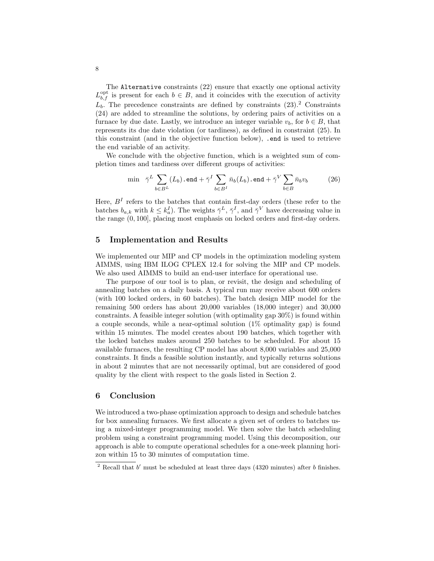The Alternative constraints (22) ensure that exactly one optional activity  $L_{b,f}^{\text{opt}}$  is present for each  $b \in B$ , and it coincides with the execution of activity  $L_b$ . The precedence constraints are defined by constraints (23).<sup>2</sup> Constraints (24) are added to streamline the solutions, by ordering pairs of activities on a furnace by due date. Lastly, we introduce an integer variable  $v<sub>b</sub>$ , for  $b \in B$ , that represents its due date violation (or tardiness), as defined in constraint (25). In this constraint (and in the objective function below), .end is used to retrieve the end variable of an activity.

We conclude with the objective function, which is a weighted sum of completion times and tardiness over different groups of activities:

$$
\min \quad \bar{\gamma}^L \sum_{b \in B^L} (L_b) . \text{ end} + \bar{\gamma}^I \sum_{b \in B^I} \bar{n}_b(L_b) . \text{ end} + \bar{\gamma}^V \sum_{b \in B} \bar{n}_b v_b \tag{26}
$$

Here,  $B<sup>I</sup>$  refers to the batches that contain first-day orders (these refer to the batches  $b_{a,k}$  with  $k \leq k_a^I$ ). The weights  $\bar{\gamma}^L$ ,  $\bar{\gamma}^I$ , and  $\bar{\gamma}^V$  have decreasing value in the range (0, 100], placing most emphasis on locked orders and first-day orders.

#### 5 Implementation and Results

We implemented our MIP and CP models in the optimization modeling system AIMMS, using IBM ILOG CPLEX 12.4 for solving the MIP and CP models. We also used AIMMS to build an end-user interface for operational use.

The purpose of our tool is to plan, or revisit, the design and scheduling of annealing batches on a daily basis. A typical run may receive about 600 orders (with 100 locked orders, in 60 batches). The batch design MIP model for the remaining 500 orders has about 20,000 variables (18,000 integer) and 30,000 constraints. A feasible integer solution (with optimality gap 30%) is found within a couple seconds, while a near-optimal solution (1% optimality gap) is found within 15 minutes. The model creates about 190 batches, which together with the locked batches makes around 250 batches to be scheduled. For about 15 available furnaces, the resulting CP model has about 8,000 variables and 25,000 constraints. It finds a feasible solution instantly, and typically returns solutions in about 2 minutes that are not necessarily optimal, but are considered of good quality by the client with respect to the goals listed in Section 2.

#### 6 Conclusion

We introduced a two-phase optimization approach to design and schedule batches for box annealing furnaces. We first allocate a given set of orders to batches using a mixed-integer programming model. We then solve the batch scheduling problem using a constraint programming model. Using this decomposition, our approach is able to compute operational schedules for a one-week planning horizon within 15 to 30 minutes of computation time.

<sup>&</sup>lt;sup>2</sup> Recall that  $b'$  must be scheduled at least three days (4320 minutes) after  $b$  finishes.